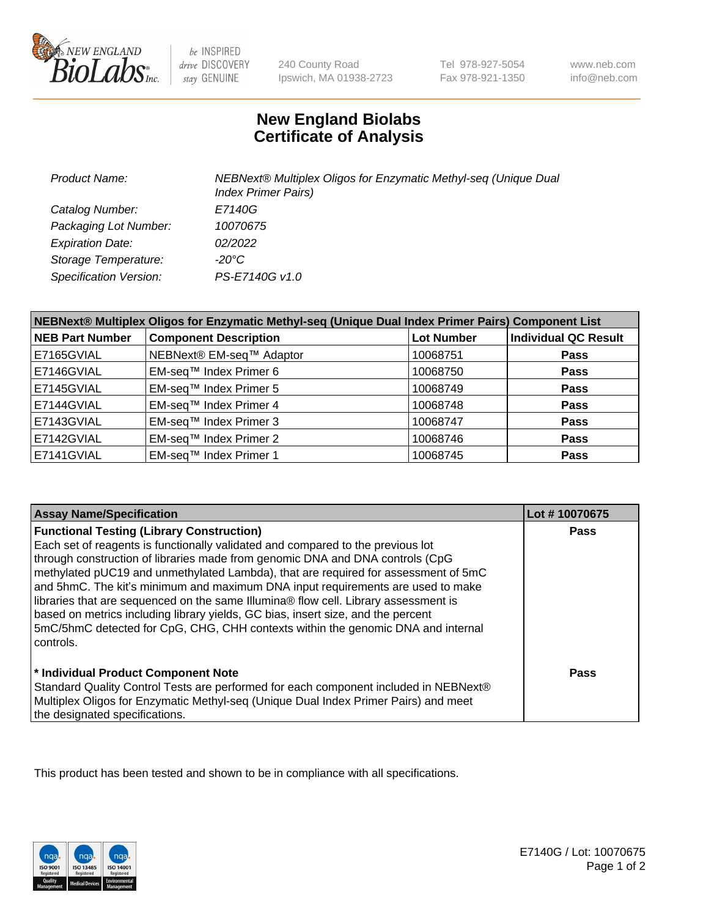

 $be$  INSPIRED drive DISCOVERY stay GENUINE

240 County Road Ipswich, MA 01938-2723 Tel 978-927-5054 Fax 978-921-1350

www.neb.com info@neb.com

## **New England Biolabs Certificate of Analysis**

| <b>Product Name:</b>    | NEBNext® Multiplex Oligos for Enzymatic Methyl-seq (Unique Dual<br><b>Index Primer Pairs)</b> |
|-------------------------|-----------------------------------------------------------------------------------------------|
| Catalog Number:         | E7140G                                                                                        |
| Packaging Lot Number:   | 10070675                                                                                      |
| <b>Expiration Date:</b> | 02/2022                                                                                       |
| Storage Temperature:    | -20°C                                                                                         |
| Specification Version:  | PS-E7140G v1.0                                                                                |

| NEBNext® Multiplex Oligos for Enzymatic Methyl-seq (Unique Dual Index Primer Pairs) Component List |                              |                   |                             |  |
|----------------------------------------------------------------------------------------------------|------------------------------|-------------------|-----------------------------|--|
| <b>NEB Part Number</b>                                                                             | <b>Component Description</b> | <b>Lot Number</b> | <b>Individual QC Result</b> |  |
| E7165GVIAL                                                                                         | NEBNext® EM-seq™ Adaptor     | 10068751          | <b>Pass</b>                 |  |
| E7146GVIAL                                                                                         | EM-seq™ Index Primer 6       | 10068750          | <b>Pass</b>                 |  |
| E7145GVIAL                                                                                         | EM-seq™ Index Primer 5       | 10068749          | <b>Pass</b>                 |  |
| E7144GVIAL                                                                                         | EM-seq™ Index Primer 4       | 10068748          | <b>Pass</b>                 |  |
| E7143GVIAL                                                                                         | EM-seq™ Index Primer 3       | 10068747          | <b>Pass</b>                 |  |
| E7142GVIAL                                                                                         | EM-seq™ Index Primer 2       | 10068746          | <b>Pass</b>                 |  |
| E7141GVIAL                                                                                         | EM-seq™ Index Primer 1       | 10068745          | <b>Pass</b>                 |  |

| <b>Assay Name/Specification</b>                                                      | Lot #10070675 |
|--------------------------------------------------------------------------------------|---------------|
| <b>Functional Testing (Library Construction)</b>                                     | <b>Pass</b>   |
| Each set of reagents is functionally validated and compared to the previous lot      |               |
| through construction of libraries made from genomic DNA and DNA controls (CpG        |               |
| methylated pUC19 and unmethylated Lambda), that are required for assessment of 5mC   |               |
| and 5hmC. The kit's minimum and maximum DNA input requirements are used to make      |               |
| libraries that are sequenced on the same Illumina® flow cell. Library assessment is  |               |
| based on metrics including library yields, GC bias, insert size, and the percent     |               |
| 5mC/5hmC detected for CpG, CHG, CHH contexts within the genomic DNA and internal     |               |
| l controls.                                                                          |               |
|                                                                                      |               |
| * Individual Product Component Note                                                  | Pass          |
| Standard Quality Control Tests are performed for each component included in NEBNext® |               |
| Multiplex Oligos for Enzymatic Methyl-seq (Unique Dual Index Primer Pairs) and meet  |               |
| the designated specifications.                                                       |               |

This product has been tested and shown to be in compliance with all specifications.